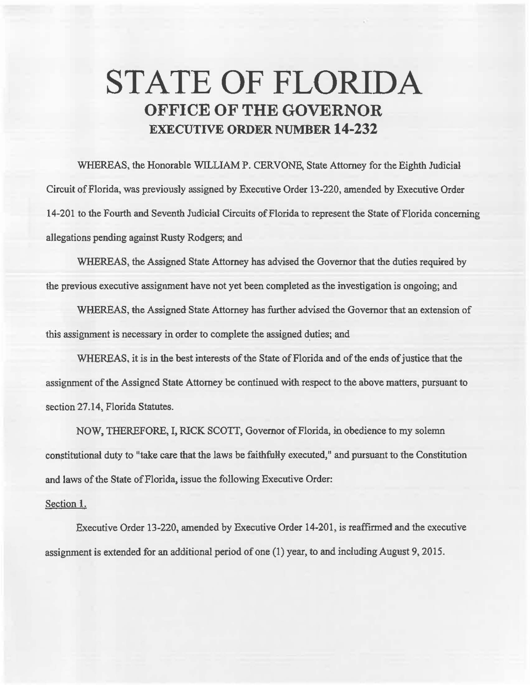## **STATE OF FLORIDA OFFICE OF THE GOVERNOR EXECUTIVE ORDER NUMBER 14-232**

WHEREAS, the Honorable WILLIAM P. CERVONE, State Attorney for the Eighth Judicial Circuit of Florida, was previously assigned by Executive Order 13-220, amended by Executive Order 14-201 to the Fourth and Seventh Judicial Circuits of Florida to represent the State of Florida concerning allegations pending against Rusty Rodgers; and

WHEREAS, the Assigned State Attorney has advised the Governor that the duties required by the previous executive assignment have not yet been completed as the investigation is ongoing; and

WHEREAS, the Assigned State Attorney has further advised the Governor that an extension of this assignment is necessary in order to complete the assigned duties; and

WHEREAS. it is in the best interests of the State of Florida and of the ends of justice that the assignment of the Assigned State Attorney be continued with respect to the above matters, pursuant to section 27.14, Florida Statutes.

NOW, THEREFORE, I, RlCK SCOTI, Governor of Florida, in obedience to my solemn constitutional duty to "take care that the laws be faithfully executed," and pursuant to the Constitution and laws of the State of Florida, issue the following Executive Order:

## Section l.

Executive Order 13-220, amended by Executive Order 14-201, is reaffirmed and the executive assignment is extended for an additional period of one (1) year, to and including August 9, 2015.